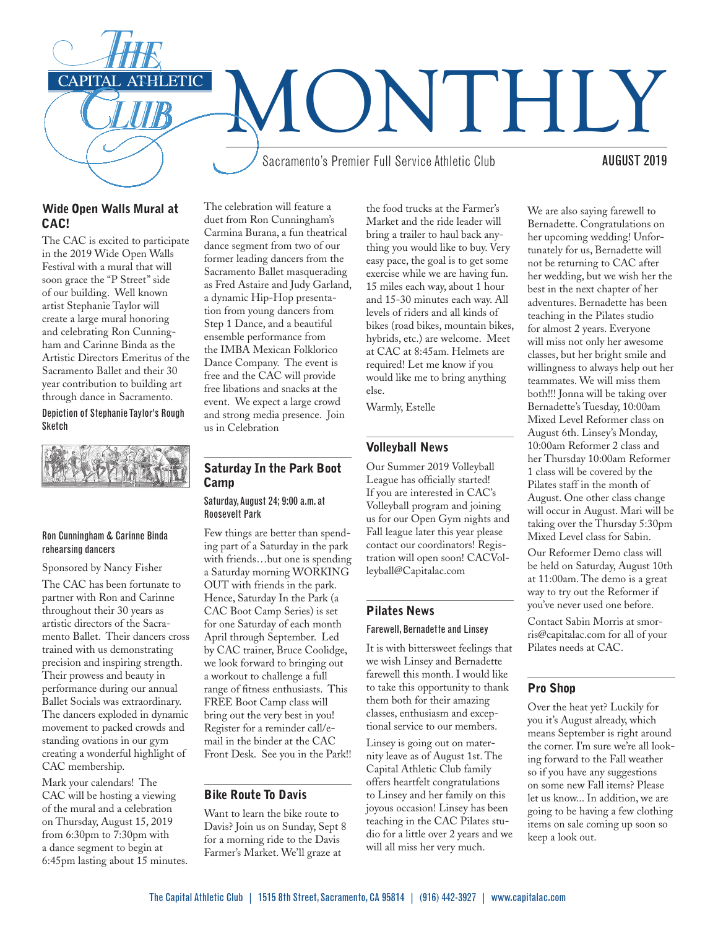

## Wide Open Walls Mural at CAC!

The CAC is excited to participate in the 2019 Wide Open Walls Festival with a mural that will soon grace the "P Street" side of our building. Well known artist Stephanie Taylor will create a large mural honoring and celebrating Ron Cunningham and Carinne Binda as the Artistic Directors Emeritus of the Sacramento Ballet and their 30 year contribution to building art through dance in Sacramento.

Depiction of Stephanie Taylor's Rough Sketch



#### Ron Cunningham & Carinne Binda rehearsing dancers

Sponsored by Nancy Fisher The CAC has been fortunate to partner with Ron and Carinne throughout their 30 years as artistic directors of the Sacramento Ballet. Their dancers cross trained with us demonstrating precision and inspiring strength. Their prowess and beauty in performance during our annual Ballet Socials was extraordinary. The dancers exploded in dynamic movement to packed crowds and standing ovations in our gym creating a wonderful highlight of CAC membership.

Mark your calendars! The CAC will be hosting a viewing of the mural and a celebration on Thursday, August 15, 2019 from 6:30pm to 7:30pm with a dance segment to begin at 6:45pm lasting about 15 minutes.

The celebration will feature a duet from Ron Cunningham's Carmina Burana, a fun theatrical dance segment from two of our former leading dancers from the Sacramento Ballet masquerading as Fred Astaire and Judy Garland, a dynamic Hip-Hop presentation from young dancers from Step 1 Dance, and a beautiful ensemble performance from the IMBA Mexican Folklorico Dance Company. The event is free and the CAC will provide free libations and snacks at the event. We expect a large crowd and strong media presence. Join us in Celebration

# Saturday In the Park Boot **Camp**

#### Saturday, August 24; 9:00 a.m. at Roosevelt Park

Few things are better than spending part of a Saturday in the park with friends…but one is spending a Saturday morning WORKING OUT with friends in the park. Hence, Saturday In the Park (a CAC Boot Camp Series) is set for one Saturday of each month April through September. Led by CAC trainer, Bruce Coolidge, we look forward to bringing out a workout to challenge a full range of fitness enthusiasts. This FREE Boot Camp class will bring out the very best in you! Register for a reminder call/email in the binder at the CAC Front Desk. See you in the Park!!

# Bike Route To Davis

Want to learn the bike route to Davis? Join us on Sunday, Sept 8 for a morning ride to the Davis Farmer's Market. We'll graze at

the food trucks at the Farmer's Market and the ride leader will bring a trailer to haul back anything you would like to buy. Very easy pace, the goal is to get some exercise while we are having fun. 15 miles each way, about 1 hour and 15-30 minutes each way. All levels of riders and all kinds of bikes (road bikes, mountain bikes, hybrids, etc.) are welcome. Meet at CAC at 8:45am. Helmets are required! Let me know if you would like me to bring anything else.

Warmly, Estelle

# Volleyball News

Our Summer 2019 Volleyball League has officially started! If you are interested in CAC's Volleyball program and joining us for our Open Gym nights and Fall league later this year please contact our coordinators! Registration will open soon! CACVolleyball@Capitalac.com

# Pilates News

#### Farewell, Bernadette and Linsey

It is with bittersweet feelings that we wish Linsey and Bernadette farewell this month. I would like to take this opportunity to thank them both for their amazing classes, enthusiasm and exceptional service to our members.

Linsey is going out on maternity leave as of August 1st. The Capital Athletic Club family offers heartfelt congratulations to Linsey and her family on this joyous occasion! Linsey has been teaching in the CAC Pilates studio for a little over 2 years and we will all miss her very much.

We are also saying farewell to Bernadette. Congratulations on her upcoming wedding! Unfortunately for us, Bernadette will not be returning to CAC after her wedding, but we wish her the best in the next chapter of her adventures. Bernadette has been teaching in the Pilates studio for almost 2 years. Everyone will miss not only her awesome classes, but her bright smile and willingness to always help out her teammates. We will miss them both!!! Jonna will be taking over Bernadette's Tuesday, 10:00am Mixed Level Reformer class on August 6th. Linsey's Monday, 10:00am Reformer 2 class and her Thursday 10:00am Reformer 1 class will be covered by the Pilates staff in the month of August. One other class change will occur in August. Mari will be taking over the Thursday 5:30pm Mixed Level class for Sabin.

Our Reformer Demo class will be held on Saturday, August 10th at 11:00am. The demo is a great way to try out the Reformer if you've never used one before.

Contact Sabin Morris at smorris@capitalac.com for all of your Pilates needs at CAC.

# Pro Shop

Over the heat yet? Luckily for you it's August already, which means September is right around the corner. I'm sure we're all looking forward to the Fall weather so if you have any suggestions on some new Fall items? Please let us know... In addition, we are going to be having a few clothing items on sale coming up soon so keep a look out.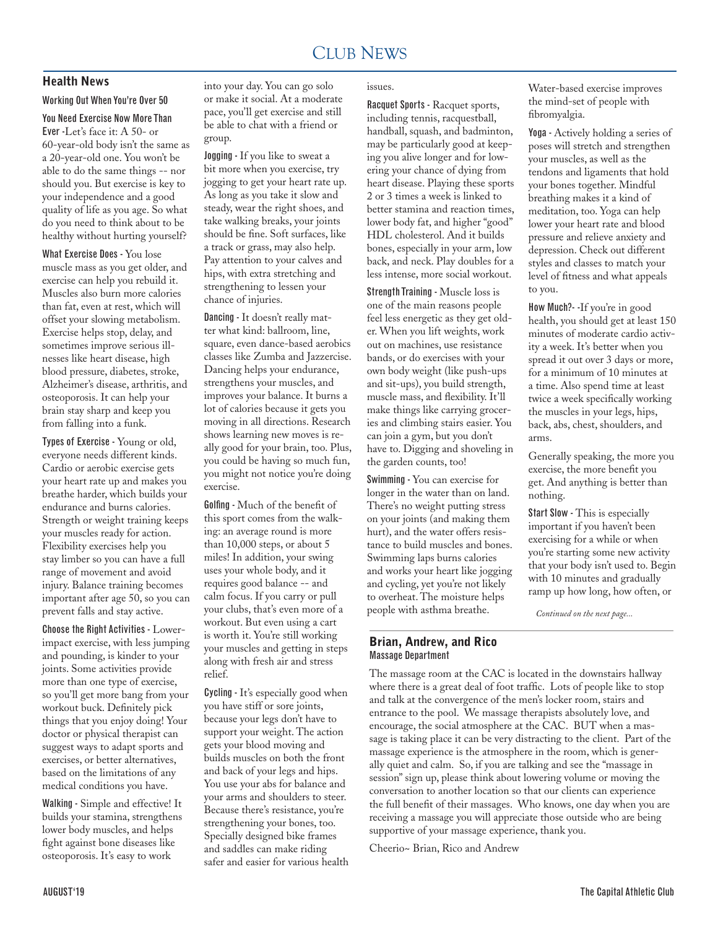# Health News

#### Working Out When You're Over 50

## You Need Exercise Now More Than

Ever -Let's face it: A 50- or 60-year-old body isn't the same as a 20-year-old one. You won't be able to do the same things -- nor should you. But exercise is key to your independence and a good quality of life as you age. So what do you need to think about to be healthy without hurting yourself?

What Exercise Does - You lose muscle mass as you get older, and exercise can help you rebuild it. Muscles also burn more calories than fat, even at rest, which will offset your slowing metabolism. Exercise helps stop, delay, and sometimes improve serious illnesses like heart disease, high blood pressure, diabetes, stroke, Alzheimer's disease, arthritis, and osteoporosis. It can help your brain stay sharp and keep you from falling into a funk.

Types of Exercise - Young or old, everyone needs different kinds. Cardio or aerobic exercise gets your heart rate up and makes you breathe harder, which builds your endurance and burns calories. Strength or weight training keeps your muscles ready for action. Flexibility exercises help you stay limber so you can have a full range of movement and avoid injury. Balance training becomes important after age 50, so you can prevent falls and stay active.

Choose the Right Activities - Lowerimpact exercise, with less jumping and pounding, is kinder to your joints. Some activities provide more than one type of exercise, so you'll get more bang from your workout buck. Definitely pick things that you enjoy doing! Your doctor or physical therapist can suggest ways to adapt sports and exercises, or better alternatives, based on the limitations of any medical conditions you have.

Walking - Simple and effective! It builds your stamina, strengthens lower body muscles, and helps fight against bone diseases like osteoporosis. It's easy to work

into your day. You can go solo or make it social. At a moderate pace, you'll get exercise and still be able to chat with a friend or group.

Jogging - If you like to sweat a bit more when you exercise, try jogging to get your heart rate up. As long as you take it slow and steady, wear the right shoes, and take walking breaks, your joints should be fine. Soft surfaces, like a track or grass, may also help. Pay attention to your calves and hips, with extra stretching and strengthening to lessen your chance of injuries.

Dancing - It doesn't really matter what kind: ballroom, line, square, even dance-based aerobics classes like Zumba and Jazzercise. Dancing helps your endurance, strengthens your muscles, and improves your balance. It burns a lot of calories because it gets you moving in all directions. Research shows learning new moves is really good for your brain, too. Plus, you could be having so much fun, you might not notice you're doing exercise.

Golfing - Much of the benefit of this sport comes from the walking: an average round is more than 10,000 steps, or about 5 miles! In addition, your swing uses your whole body, and it requires good balance -- and calm focus. If you carry or pull your clubs, that's even more of a workout. But even using a cart is worth it. You're still working your muscles and getting in steps along with fresh air and stress relief.

Cycling - It's especially good when you have stiff or sore joints, because your legs don't have to support your weight. The action gets your blood moving and builds muscles on both the front and back of your legs and hips. You use your abs for balance and your arms and shoulders to steer. Because there's resistance, you're strengthening your bones, too. Specially designed bike frames and saddles can make riding safer and easier for various health

#### issues.

Racquet Sports - Racquet sports, including tennis, racquestball, handball, squash, and badminton, may be particularly good at keeping you alive longer and for lowering your chance of dying from heart disease. Playing these sports 2 or 3 times a week is linked to better stamina and reaction times, lower body fat, and higher "good" HDL cholesterol. And it builds bones, especially in your arm, low back, and neck. Play doubles for a less intense, more social workout.

Strength Training - Muscle loss is one of the main reasons people feel less energetic as they get older. When you lift weights, work out on machines, use resistance bands, or do exercises with your own body weight (like push-ups and sit-ups), you build strength, muscle mass, and flexibility. It'll make things like carrying groceries and climbing stairs easier. You can join a gym, but you don't have to. Digging and shoveling in the garden counts, too!

Swimming - You can exercise for longer in the water than on land. There's no weight putting stress on your joints (and making them hurt), and the water offers resistance to build muscles and bones. Swimming laps burns calories and works your heart like jogging and cycling, yet you're not likely to overheat. The moisture helps people with asthma breathe.

#### Brian, Andrew, and Rico Massage Department

The massage room at the CAC is located in the downstairs hallway where there is a great deal of foot traffic. Lots of people like to stop and talk at the convergence of the men's locker room, stairs and entrance to the pool. We massage therapists absolutely love, and encourage, the social atmosphere at the CAC. BUT when a massage is taking place it can be very distracting to the client. Part of the massage experience is the atmosphere in the room, which is generally quiet and calm. So, if you are talking and see the "massage in session" sign up, please think about lowering volume or moving the conversation to another location so that our clients can experience the full benefit of their massages. Who knows, one day when you are receiving a massage you will appreciate those outside who are being supportive of your massage experience, thank you.

Cheerio~ Brian, Rico and Andrew

Water-based exercise improves the mind-set of people with fibromyalgia.

Yoga - Actively holding a series of poses will stretch and strengthen your muscles, as well as the tendons and ligaments that hold your bones together. Mindful breathing makes it a kind of meditation, too. Yoga can help lower your heart rate and blood pressure and relieve anxiety and depression. Check out different styles and classes to match your level of fitness and what appeals to you.

How Much?- -If you're in good health, you should get at least 150 minutes of moderate cardio activity a week. It's better when you spread it out over 3 days or more, for a minimum of 10 minutes at a time. Also spend time at least twice a week specifically working the muscles in your legs, hips, back, abs, chest, shoulders, and arms.

Generally speaking, the more you exercise, the more benefit you get. And anything is better than nothing.

Start Slow - This is especially important if you haven't been exercising for a while or when you're starting some new activity that your body isn't used to. Begin with 10 minutes and gradually ramp up how long, how often, or

*Continued on the next page...*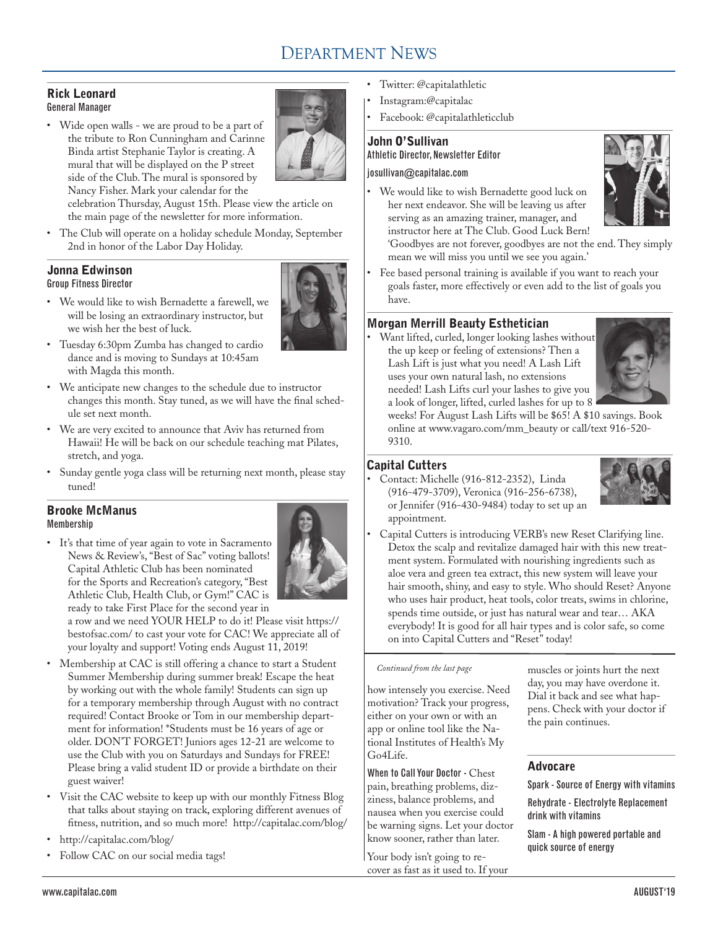# DEPARTMENT NEWS

#### Rick Leonard General Manager

• Wide open walls - we are proud to be a part of the tribute to Ron Cunningham and Carinne Binda artist Stephanie Taylor is creating. A mural that will be displayed on the P street side of the Club. The mural is sponsored by Nancy Fisher. Mark your calendar for the



celebration Thursday, August 15th. Please view the article on the main page of the newsletter for more information.

• The Club will operate on a holiday schedule Monday, September 2nd in honor of the Labor Day Holiday.

# Jonna Edwinson Group Fitness Director



we wish her the best of luck. • Tuesday 6:30pm Zumba has changed to cardio dance and is moving to Sundays at 10:45am with Magda this month.

• We would like to wish Bernadette a farewell, we will be losing an extraordinary instructor, but

- • We anticipate new changes to the schedule due to instructor changes this month. Stay tuned, as we will have the final schedule set next month.
- We are very excited to announce that Aviv has returned from Hawaii! He will be back on our schedule teaching mat Pilates, stretch, and yoga.
- • Sunday gentle yoga class will be returning next month, please stay tuned!

#### Brooke McManus Membership

• It's that time of year again to vote in Sacramento News & Review's, "Best of Sac" voting ballots! Capital Athletic Club has been nominated for the Sports and Recreation's category, "Best Athletic Club, Health Club, or Gym!" CAC is ready to take First Place for the second year in



a row and we need YOUR HELP to do it! Please visit https:// bestofsac.com/ to cast your vote for CAC! We appreciate all of your loyalty and support! Voting ends August 11, 2019!

- • Membership at CAC is still offering a chance to start a Student Summer Membership during summer break! Escape the heat by working out with the whole family! Students can sign up for a temporary membership through August with no contract required! Contact Brooke or Tom in our membership department for information! \*Students must be 16 years of age or older. DON'T FORGET! Juniors ages 12-21 are welcome to use the Club with you on Saturdays and Sundays for FREE! Please bring a valid student ID or provide a birthdate on their guest waiver!
- • Visit the CAC website to keep up with our monthly Fitness Blog that talks about staying on track, exploring different avenues of fitness, nutrition, and so much more! http://capitalac.com/blog/
- http://capitalac.com/blog/
- Follow CAC on our social media tags!
- Twitter: @capitalathletic
- Instagram:@capitalac
- Facebook: @capitalathleticclub

## John O'Sullivan Athletic Director, Newsletter Editor

## josullivan@capitalac.com

• We would like to wish Bernadette good luck on her next endeavor. She will be leaving us after serving as an amazing trainer, manager, and instructor here at The Club. Good Luck Bern!



'Goodbyes are not forever, goodbyes are not the end. They simply mean we will miss you until we see you again.'

Fee based personal training is available if you want to reach your goals faster, more effectively or even add to the list of goals you have.

# Morgan Merrill Beauty Esthetician

Want lifted, curled, longer looking lashes without the up keep or feeling of extensions? Then a Lash Lift is just what you need! A Lash Lift uses your own natural lash, no extensions needed! Lash Lifts curl your lashes to give you a look of longer, lifted, curled lashes for up to 8



weeks! For August Lash Lifts will be \$65! A \$10 savings. Book online at www.vagaro.com/mm\_beauty or call/text 916-520- 9310.

# Capital Cutters

Contact: Michelle (916-812-2352), Linda (916-479-3709), Veronica (916-256-6738), or Jennifer (916-430-9484) today to set up an appointment.



Capital Cutters is introducing VERB's new Reset Clarifying line. Detox the scalp and revitalize damaged hair with this new treatment system. Formulated with nourishing ingredients such as aloe vera and green tea extract, this new system will leave your hair smooth, shiny, and easy to style. Who should Reset? Anyone who uses hair product, heat tools, color treats, swims in chlorine, spends time outside, or just has natural wear and tear… AKA everybody! It is good for all hair types and is color safe, so come on into Capital Cutters and "Reset" today!

#### *Continued from the last page*

how intensely you exercise. Need motivation? Track your progress, either on your own or with an app or online tool like the National Institutes of Health's My Go4Life.

When to Call Your Doctor - Chest pain, breathing problems, dizziness, balance problems, and nausea when you exercise could be warning signs. Let your doctor know sooner, rather than later.

Your body isn't going to recover as fast as it used to. If your

muscles or joints hurt the next day, you may have overdone it. Dial it back and see what happens. Check with your doctor if the pain continues.

# Advocare

Spark - Source of Energy with vitamins

Rehydrate - Electrolyte Replacement drink with vitamins

Slam - A high powered portable and quick source of energy